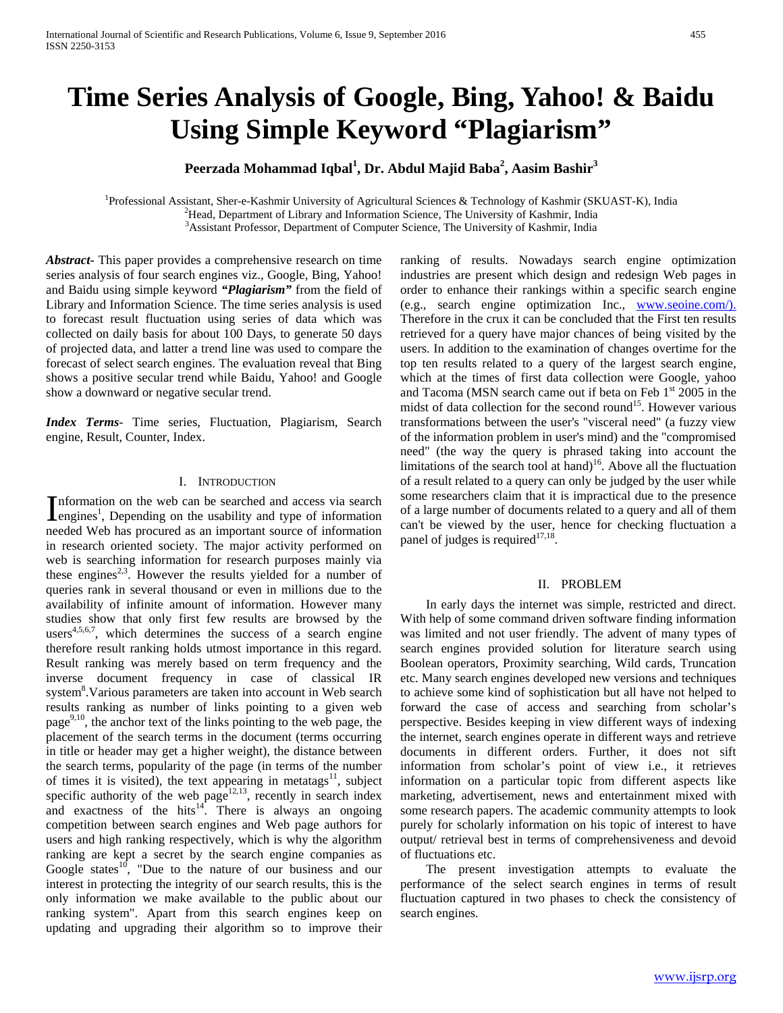# **Time Series Analysis of Google, Bing, Yahoo! & Baidu Using Simple Keyword "Plagiarism"**

# **Peerzada Mohammad Iqbal<sup>1</sup> , Dr. Abdul Majid Baba<sup>2</sup> , Aasim Bashir3**

<sup>1</sup>Professional Assistant, Sher-e-Kashmir University of Agricultural Sciences & Technology of Kashmir (SKUAST-K), India <sup>2</sup>Head, Department of Library and Information Science, The University of Kashmir India  ${}^{2}$ Head, Department of Library and Information Science, The University of Kashmir, India <sup>3</sup> Assistant Professor, Department of Computer Science, The University of Kashmir, India

*Abstract***-** This paper provides a comprehensive research on time series analysis of four search engines viz., Google, Bing, Yahoo! and Baidu using simple keyword *"Plagiarism"* from the field of Library and Information Science. The time series analysis is used to forecast result fluctuation using series of data which was collected on daily basis for about 100 Days, to generate 50 days of projected data, and latter a trend line was used to compare the forecast of select search engines. The evaluation reveal that Bing shows a positive secular trend while Baidu, Yahoo! and Google show a downward or negative secular trend.

*Index Terms*- Time series, Fluctuation, Plagiarism, Search engine, Result, Counter, Index.

## I. INTRODUCTION

nformation on the web can be searched and access via search Information on the web can be searched and access via search<br>engines<sup>1</sup>, Depending on the usability and type of information<br>in the usability and type of information needed Web has procured as an important source of information in research oriented society. The major activity performed on web is searching information for research purposes mainly via these engines<sup>2,3</sup>. However the results yielded for a number of queries rank in several thousand or even in millions due to the availability of infinite amount of information. However many studies show that only first few results are browsed by the users $4,5,6,7$ , which determines the success of a search engine therefore result ranking holds utmost importance in this regard. Result ranking was merely based on term frequency and the inverse document frequency in case of classical IR system<sup>8</sup>. Various parameters are taken into account in Web search results ranking as number of links pointing to a given web page<sup>9,10</sup>, the anchor text of the links pointing to the web page, the placement of the search terms in the document (terms occurring in title or header may get a higher weight), the distance between the search terms, popularity of the page (in terms of the number of times it is visited), the text appearing in metatags $^{11}$ , subject specific authority of the web page<sup>12,13</sup>, recently in search index and exactness of the hits $14$ . There is always an ongoing competition between search engines and Web page authors for users and high ranking respectively, which is why the algorithm ranking are kept a secret by the search engine companies as Google states $^{10}$ , "Due to the nature of our business and our interest in protecting the integrity of our search results, this is the only information we make available to the public about our ranking system". Apart from this search engines keep on updating and upgrading their algorithm so to improve their

ranking of results. Nowadays search engine optimization industries are present which design and redesign Web pages in order to enhance their rankings within a specific search engine (e.g., search engine optimization Inc., [www.seoine.com/\).](http://www.seoine.com/).) Therefore in the crux it can be concluded that the First ten results retrieved for a query have major chances of being visited by the users. In addition to the examination of changes overtime for the top ten results related to a query of the largest search engine, which at the times of first data collection were Google, yahoo and Tacoma (MSN search came out if beta on Feb 1<sup>st</sup> 2005 in the midst of data collection for the second round<sup>15</sup>. However various transformations between the user's "visceral need" (a fuzzy view of the information problem in user's mind) and the "compromised need" (the way the query is phrased taking into account the limitations of the search tool at hand)<sup>16</sup>. Above all the fluctuation of a result related to a query can only be judged by the user while some researchers claim that it is impractical due to the presence of a large number of documents related to a query and all of them can't be viewed by the user, hence for checking fluctuation a panel of judges is required $17,18$ .

# II. PROBLEM

 In early days the internet was simple, restricted and direct. With help of some command driven software finding information was limited and not user friendly. The advent of many types of search engines provided solution for literature search using Boolean operators, Proximity searching, Wild cards, Truncation etc. Many search engines developed new versions and techniques to achieve some kind of sophistication but all have not helped to forward the case of access and searching from scholar's perspective. Besides keeping in view different ways of indexing the internet, search engines operate in different ways and retrieve documents in different orders. Further, it does not sift information from scholar's point of view i.e., it retrieves information on a particular topic from different aspects like marketing, advertisement, news and entertainment mixed with some research papers. The academic community attempts to look purely for scholarly information on his topic of interest to have output/ retrieval best in terms of comprehensiveness and devoid of fluctuations etc.

 The present investigation attempts to evaluate the performance of the select search engines in terms of result fluctuation captured in two phases to check the consistency of search engines.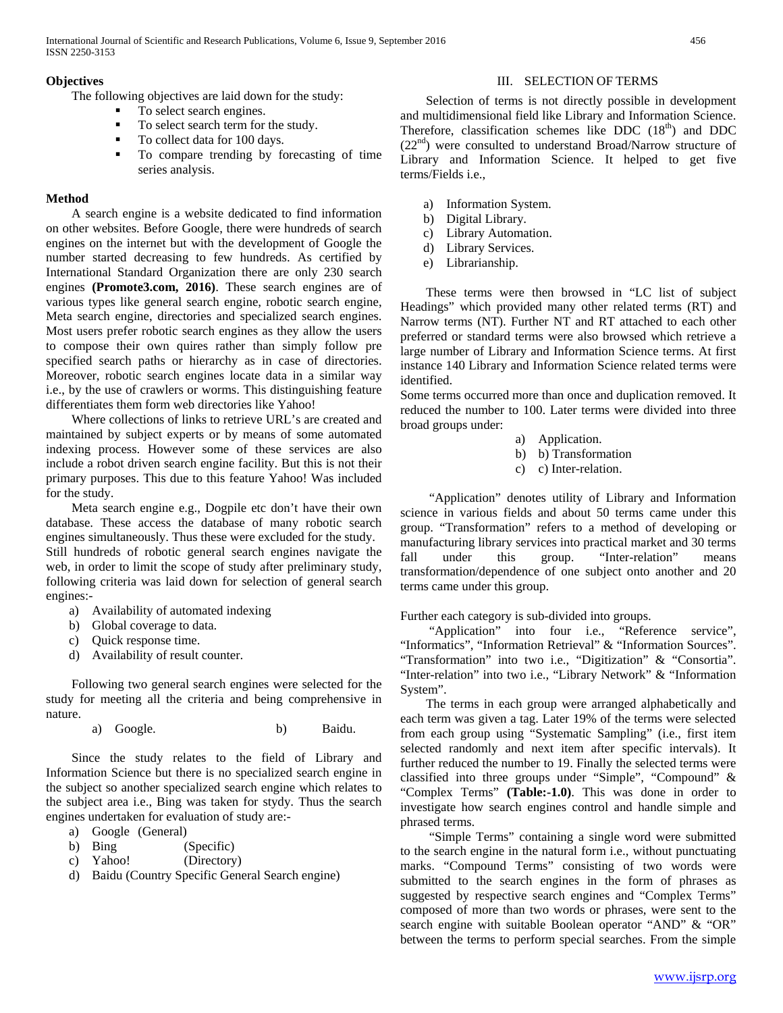## **Objectives**

The following objectives are laid down for the study:

- To select search engines.
- To select search term for the study.
- To collect data for 100 days.
- To compare trending by forecasting of time series analysis.

# **Method**

 A search engine is a website dedicated to find information on other websites. Before Google, there were hundreds of search engines on the internet but with the development of Google the number started decreasing to few hundreds. As certified by International Standard Organization there are only 230 search engines **(Promote3.com, 2016)**. These search engines are of various types like general search engine, robotic search engine, Meta search engine, directories and specialized search engines. Most users prefer robotic search engines as they allow the users to compose their own quires rather than simply follow pre specified search paths or hierarchy as in case of directories. Moreover, robotic search engines locate data in a similar way i.e., by the use of crawlers or worms. This distinguishing feature differentiates them form web directories like Yahoo!

 Where collections of links to retrieve URL's are created and maintained by subject experts or by means of some automated indexing process. However some of these services are also include a robot driven search engine facility. But this is not their primary purposes. This due to this feature Yahoo! Was included for the study.

 Meta search engine e.g., Dogpile etc don't have their own database. These access the database of many robotic search engines simultaneously. Thus these were excluded for the study. Still hundreds of robotic general search engines navigate the web, in order to limit the scope of study after preliminary study, following criteria was laid down for selection of general search engines:-

- a) Availability of automated indexing
- b) Global coverage to data.
- c) Quick response time.
- d) Availability of result counter.

 Following two general search engines were selected for the study for meeting all the criteria and being comprehensive in nature.

a) Google. b) Baidu.

 Since the study relates to the field of Library and Information Science but there is no specialized search engine in the subject so another specialized search engine which relates to the subject area i.e., Bing was taken for stydy. Thus the search engines undertaken for evaluation of study are:-

- a) Google (General)
- b) Bing (Specific)
- c) Yahoo! (Directory)
- d) Baidu (Country Specific General Search engine)

## III. SELECTION OF TERMS

 Selection of terms is not directly possible in development and multidimensional field like Library and Information Science. Therefore, classification schemes like DDC  $(18<sup>th</sup>)$  and DDC  $(22<sup>nd</sup>)$  were consulted to understand Broad/Narrow structure of Library and Information Science. It helped to get five terms/Fields i.e.,

- a) Information System.
- b) Digital Library.
- c) Library Automation.
- d) Library Services.
- e) Librarianship.

 These terms were then browsed in "LC list of subject Headings" which provided many other related terms (RT) and Narrow terms (NT). Further NT and RT attached to each other preferred or standard terms were also browsed which retrieve a large number of Library and Information Science terms. At first instance 140 Library and Information Science related terms were identified.

Some terms occurred more than once and duplication removed. It reduced the number to 100. Later terms were divided into three broad groups under:

- a) Application.
- b) b) Transformation
- c) c) Inter-relation.

 "Application" denotes utility of Library and Information science in various fields and about 50 terms came under this group. "Transformation" refers to a method of developing or manufacturing library services into practical market and 30 terms fall under this group. "Inter-relation" means transformation/dependence of one subject onto another and 20 terms came under this group.

Further each category is sub-divided into groups.

 "Application" into four i.e., "Reference service", "Informatics", "Information Retrieval" & "Information Sources". "Transformation" into two i.e., "Digitization" & "Consortia". "Inter-relation" into two i.e., "Library Network" & "Information System".

 The terms in each group were arranged alphabetically and each term was given a tag. Later 19% of the terms were selected from each group using "Systematic Sampling" (i.e., first item selected randomly and next item after specific intervals). It further reduced the number to 19. Finally the selected terms were classified into three groups under "Simple", "Compound" & "Complex Terms" **(Table:-1.0)**. This was done in order to investigate how search engines control and handle simple and phrased terms.

 "Simple Terms" containing a single word were submitted to the search engine in the natural form i.e., without punctuating marks. "Compound Terms" consisting of two words were submitted to the search engines in the form of phrases as suggested by respective search engines and "Complex Terms" composed of more than two words or phrases, were sent to the search engine with suitable Boolean operator "AND" & "OR" between the terms to perform special searches. From the simple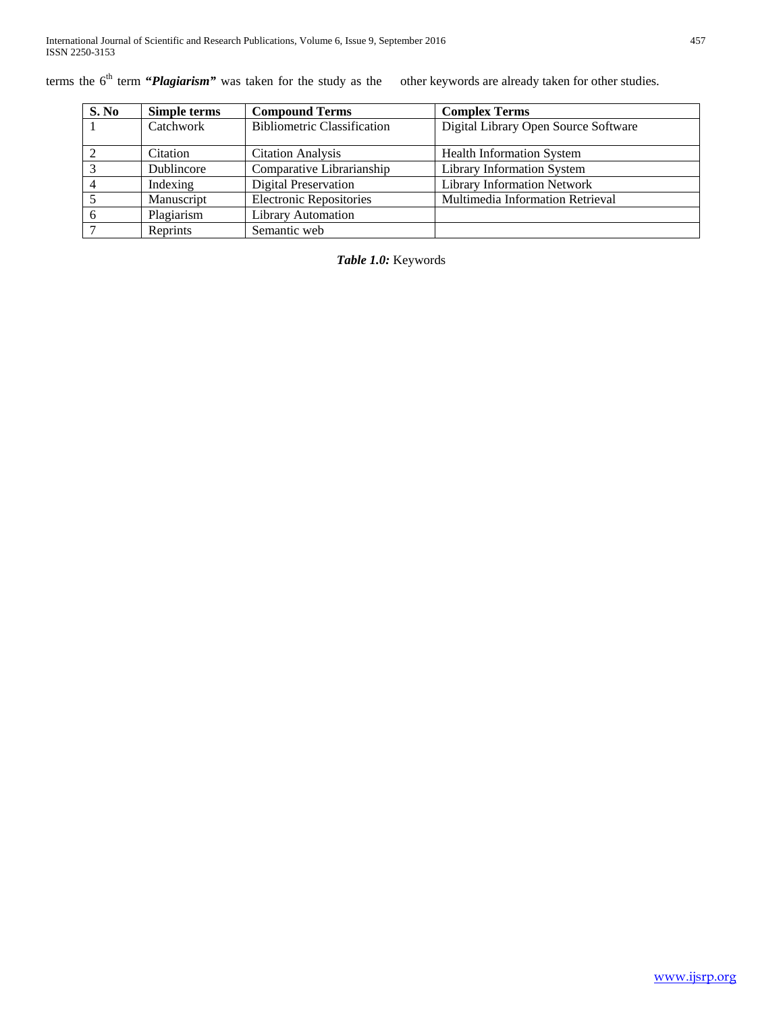terms the 6<sup>th</sup> term "*Plagiarism*" was taken for the study as the other keywords are already taken for other studies.

| S. No          | Simple terms | <b>Compound Terms</b>              | <b>Complex Terms</b>                 |
|----------------|--------------|------------------------------------|--------------------------------------|
|                | Catchwork    | <b>Bibliometric Classification</b> | Digital Library Open Source Software |
| 2              | Citation     | <b>Citation Analysis</b>           | <b>Health Information System</b>     |
| $\overline{3}$ | Dublincore   | Comparative Librarianship          | <b>Library Information System</b>    |
|                | Indexing     | <b>Digital Preservation</b>        | <b>Library Information Network</b>   |
|                | Manuscript   | <b>Electronic Repositories</b>     | Multimedia Information Retrieval     |
| -6             | Plagiarism   | <b>Library Automation</b>          |                                      |
| 7              | Reprints     | Semantic web                       |                                      |

# *Table 1.0:* Keywords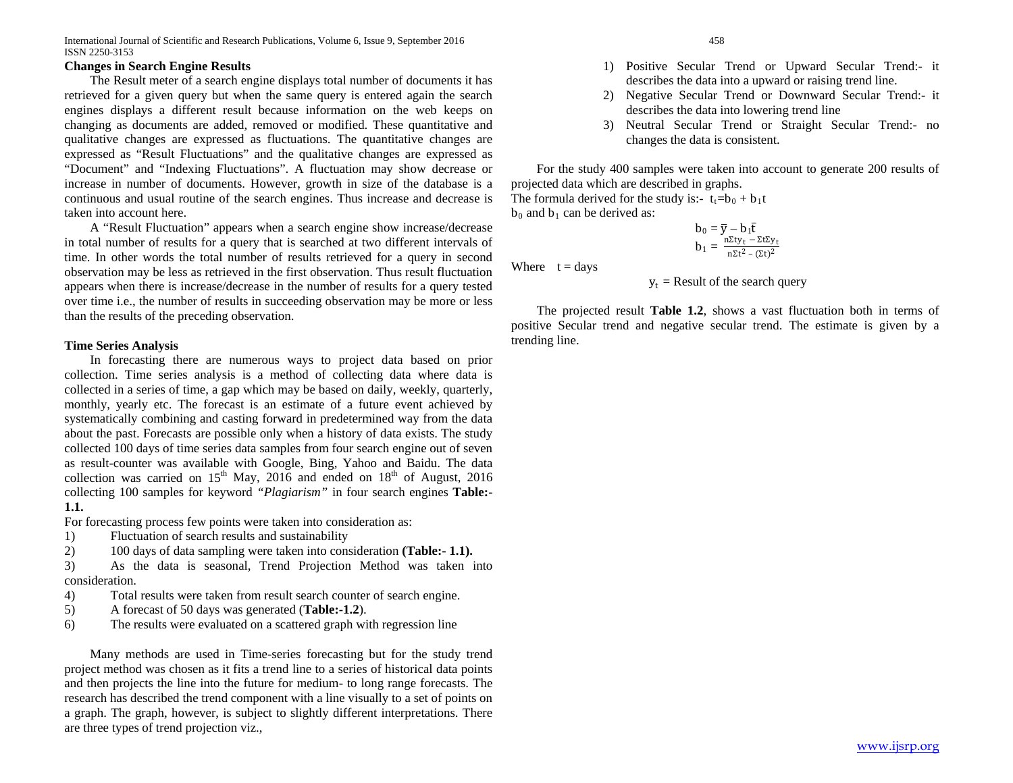International Journal of Scientific and Research Publications, Volume 6, Issue 9, September 2016 458 ISSN 2250-3153

## **Changes in Search Engine Results**

 The Result meter of a search engine displays total number of documents it has retrieved for a given query but when the same query is entered again the search engines displays a different result because information on the web keeps on changing as documents are added, removed or modified. These quantitative and qualitative changes are expressed as fluctuations. The quantitative changes are expressed as "Result Fluctuations" and the qualitative changes are expressed as "Document" and "Indexing Fluctuations". A fluctuation may show decrease or increase in number of documents. However, growth in size of the database is a continuous and usual routine of the search engines. Thus increase and decrease is taken into account here.

 A "Result Fluctuation" appears when a search engine show increase/decrease in total number of results for a query that is searched at two different intervals of time. In other words the total number of results retrieved for a query in second observation may be less as retrieved in the first observation. Thus result fluctuation appears when there is increase/decrease in the number of results for a query tested over time i.e., the number of results in succeeding observation may be more or less than the results of the preceding observation.

#### **Time Series Analysis**

 In forecasting there are numerous ways to project data based on prior collection. Time series analysis is a method of collecting data where data is collected in a series of time, a gap which may be based on daily, weekly, quarterly, monthly, yearly etc. The forecast is an estimate of a future event achieved by systematically combining and casting forward in predetermined way from the data about the past. Forecasts are possible only when a history of data exists. The study collected 100 days of time series data samples from four search engine out of seven as result-counter was available with Google, Bing, Yahoo and Baidu. The data collection was carried on  $15<sup>th</sup>$  May, 2016 and ended on  $18<sup>th</sup>$  of August, 2016 collecting 100 samples for keyword *"Plagiarism"* in four search engines **Table:- 1.1.**

For forecasting process few points were taken into consideration as:

- 1) Fluctuation of search results and sustainability
- 2) 100 days of data sampling were taken into consideration **(Table:- 1.1).**

3) As the data is seasonal, Trend Projection Method was taken into consideration.

- 4) Total results were taken from result search counter of search engine.
- 5) A forecast of 50 days was generated (**Table:-1.2**).
- 6) The results were evaluated on a scattered graph with regression line

 Many methods are used in Time-series forecasting but for the study trend project method was chosen as it fits a trend line to a series of historical data points and then projects the line into the future for medium- to long range forecasts. The research has described the trend component with a line visually to a set of points on a graph. The graph, however, is subject to slightly different interpretations. There are three types of trend projection viz.,

- 1) Positive Secular Trend or Upward Secular Trend:- it describes the data into a upward or raising trend line.
- 2) Negative Secular Trend or Downward Secular Trend:- it describes the data into lowering trend line
- 3) Neutral Secular Trend or Straight Secular Trend:- no changes the data is consistent.

 For the study 400 samples were taken into account to generate 200 results of projected data which are described in graphs.

The formula derived for the study is:-  $t_f=b_0 + b_1t$  $b_0$  and  $b_1$  can be derived as:

$$
\begin{array}{l} b_0=\overline{y}-b_1\overline{t} \\[2mm] b_1=\frac{n\Sigma t y_t-\Sigma t\Sigma y_t}{n\Sigma t^2-(\Sigma t)^2}\end{array}
$$

Where  $t = \text{days}$ 

$$
y_t
$$
 = Result of the search query

 The projected result **Table 1.2**, shows a vast fluctuation both in terms of positive Secular trend and negative secular trend. The estimate is given by a trending line.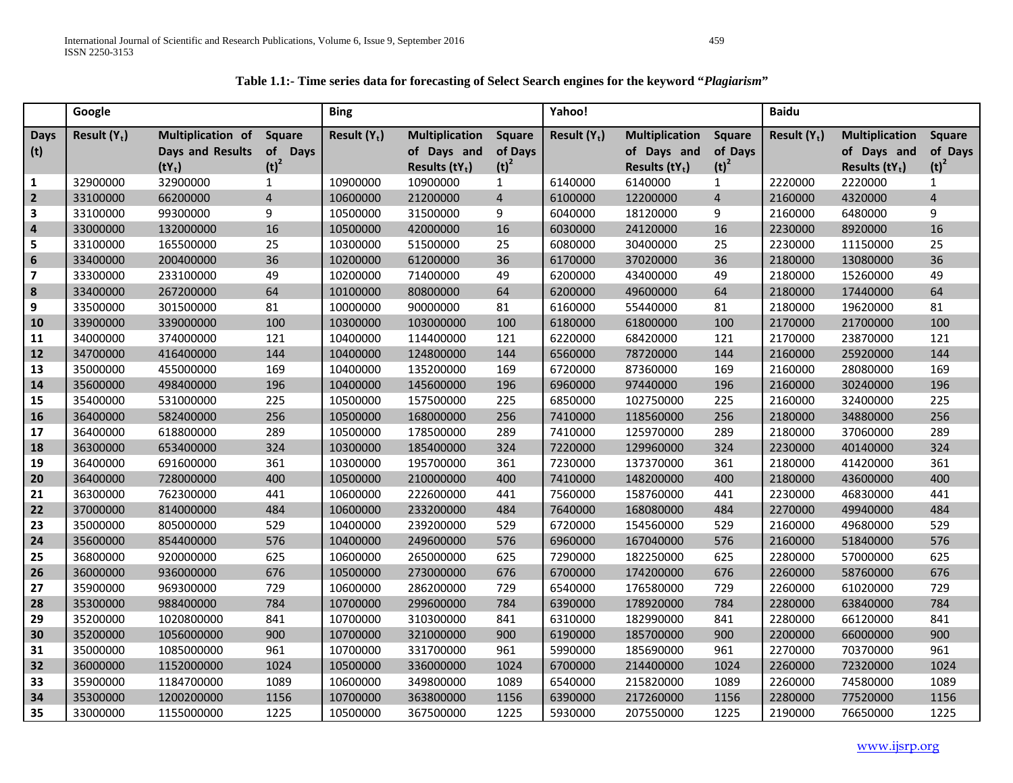| Table 1.1:- Time series data for forecasting of Select Search engines for the keyword "Plagiarism" |
|----------------------------------------------------------------------------------------------------|
|----------------------------------------------------------------------------------------------------|

|                | Google         |                         |                          | <b>Bing</b>    |                       |                | Yahoo!         |                       |                | <b>Baidu</b>   |                       |                  |
|----------------|----------------|-------------------------|--------------------------|----------------|-----------------------|----------------|----------------|-----------------------|----------------|----------------|-----------------------|------------------|
| <b>Days</b>    | Result $(Y_t)$ | Multiplication of       | <b>Square</b>            | Result $(Y_t)$ | <b>Multiplication</b> | <b>Square</b>  | Result $(Y_t)$ | <b>Multiplication</b> | <b>Square</b>  | Result $(Y_t)$ | <b>Multiplication</b> | Square           |
| (t)            |                | <b>Days and Results</b> | <b>of</b><br><b>Days</b> |                | of Days and           | of Days        |                | of Days and           | of Days        |                | of Days and           | of Days          |
|                |                | $(tY_t)$                | $(t)^2$                  |                | Results $(tY_t)$      | $(t)^2$        |                | Results $(tY_t)$      | $(t)^2$        |                | Results $(tY_t)$      | (t) <sup>2</sup> |
| 1              | 32900000       | 32900000                | $\mathbf{1}$             | 10900000       | 10900000              | $\mathbf{1}$   | 6140000        | 6140000               | $\mathbf{1}$   | 2220000        | 2220000               | $\mathbf{1}$     |
| $\overline{2}$ | 33100000       | 66200000                | $\overline{4}$           | 10600000       | 21200000              | $\overline{4}$ | 6100000        | 12200000              | $\overline{4}$ | 2160000        | 4320000               | $\overline{4}$   |
| 3              | 33100000       | 99300000                | 9                        | 10500000       | 31500000              | 9              | 6040000        | 18120000              | 9              | 2160000        | 6480000               | 9                |
| $\overline{4}$ | 33000000       | 132000000               | 16                       | 10500000       | 42000000              | 16             | 6030000        | 24120000              | 16             | 2230000        | 8920000               | 16               |
| 5              | 33100000       | 165500000               | 25                       | 10300000       | 51500000              | 25             | 6080000        | 30400000              | 25             | 2230000        | 11150000              | 25               |
| 6              | 33400000       | 200400000               | 36                       | 10200000       | 61200000              | 36             | 6170000        | 37020000              | 36             | 2180000        | 13080000              | 36               |
| $\overline{7}$ | 33300000       | 233100000               | 49                       | 10200000       | 71400000              | 49             | 6200000        | 43400000              | 49             | 2180000        | 15260000              | 49               |
| 8              | 33400000       | 267200000               | 64                       | 10100000       | 80800000              | 64             | 6200000        | 49600000              | 64             | 2180000        | 17440000              | 64               |
| 9              | 33500000       | 301500000               | 81                       | 10000000       | 90000000              | 81             | 6160000        | 55440000              | 81             | 2180000        | 19620000              | 81               |
| 10             | 33900000       | 339000000               | 100                      | 10300000       | 103000000             | 100            | 6180000        | 61800000              | 100            | 2170000        | 21700000              | 100              |
| 11             | 34000000       | 374000000               | 121                      | 10400000       | 114400000             | 121            | 6220000        | 68420000              | 121            | 2170000        | 23870000              | 121              |
| 12             | 34700000       | 416400000               | 144                      | 10400000       | 124800000             | 144            | 6560000        | 78720000              | 144            | 2160000        | 25920000              | 144              |
| 13             | 35000000       | 455000000               | 169                      | 10400000       | 135200000             | 169            | 6720000        | 87360000              | 169            | 2160000        | 28080000              | 169              |
| 14             | 35600000       | 498400000               | 196                      | 10400000       | 145600000             | 196            | 6960000        | 97440000              | 196            | 2160000        | 30240000              | 196              |
| 15             | 35400000       | 531000000               | 225                      | 10500000       | 157500000             | 225            | 6850000        | 102750000             | 225            | 2160000        | 32400000              | 225              |
| 16             | 36400000       | 582400000               | 256                      | 10500000       | 168000000             | 256            | 7410000        | 118560000             | 256            | 2180000        | 34880000              | 256              |
| 17             | 36400000       | 618800000               | 289                      | 10500000       | 178500000             | 289            | 7410000        | 125970000             | 289            | 2180000        | 37060000              | 289              |
| 18             | 36300000       | 653400000               | 324                      | 10300000       | 185400000             | 324            | 7220000        | 129960000             | 324            | 2230000        | 40140000              | 324              |
| 19             | 36400000       | 691600000               | 361                      | 10300000       | 195700000             | 361            | 7230000        | 137370000             | 361            | 2180000        | 41420000              | 361              |
| 20             | 36400000       | 728000000               | 400                      | 10500000       | 210000000             | 400            | 7410000        | 148200000             | 400            | 2180000        | 43600000              | 400              |
| 21             | 36300000       | 762300000               | 441                      | 10600000       | 222600000             | 441            | 7560000        | 158760000             | 441            | 2230000        | 46830000              | 441              |
| 22             | 37000000       | 814000000               | 484                      | 10600000       | 233200000             | 484            | 7640000        | 168080000             | 484            | 2270000        | 49940000              | 484              |
| 23             | 35000000       | 805000000               | 529                      | 10400000       | 239200000             | 529            | 6720000        | 154560000             | 529            | 2160000        | 49680000              | 529              |
| 24             | 35600000       | 854400000               | 576                      | 10400000       | 249600000             | 576            | 6960000        | 167040000             | 576            | 2160000        | 51840000              | 576              |
| 25             | 36800000       | 920000000               | 625                      | 10600000       | 265000000             | 625            | 7290000        | 182250000             | 625            | 2280000        | 57000000              | 625              |
| 26             | 36000000       | 936000000               | 676                      | 10500000       | 273000000             | 676            | 6700000        | 174200000             | 676            | 2260000        | 58760000              | 676              |
| 27             | 35900000       | 969300000               | 729                      | 10600000       | 286200000             | 729            | 6540000        | 176580000             | 729            | 2260000        | 61020000              | 729              |
| 28             | 35300000       | 988400000               | 784                      | 10700000       | 299600000             | 784            | 6390000        | 178920000             | 784            | 2280000        | 63840000              | 784              |
| 29             | 35200000       | 1020800000              | 841                      | 10700000       | 310300000             | 841            | 6310000        | 182990000             | 841            | 2280000        | 66120000              | 841              |
| 30             | 35200000       | 1056000000              | 900                      | 10700000       | 321000000             | 900            | 6190000        | 185700000             | 900            | 2200000        | 66000000              | 900              |
| 31             | 35000000       | 1085000000              | 961                      | 10700000       | 331700000             | 961            | 5990000        | 185690000             | 961            | 2270000        | 70370000              | 961              |
| 32             | 36000000       | 1152000000              | 1024                     | 10500000       | 336000000             | 1024           | 6700000        | 214400000             | 1024           | 2260000        | 72320000              | 1024             |
| 33             | 35900000       | 1184700000              | 1089                     | 10600000       | 349800000             | 1089           | 6540000        | 215820000             | 1089           | 2260000        | 74580000              | 1089             |
| 34             | 35300000       | 1200200000              | 1156                     | 10700000       | 363800000             | 1156           | 6390000        | 217260000             | 1156           | 2280000        | 77520000              | 1156             |
| 35             | 33000000       | 1155000000              | 1225                     | 10500000       | 367500000             | 1225           | 5930000        | 207550000             | 1225           | 2190000        | 76650000              | 1225             |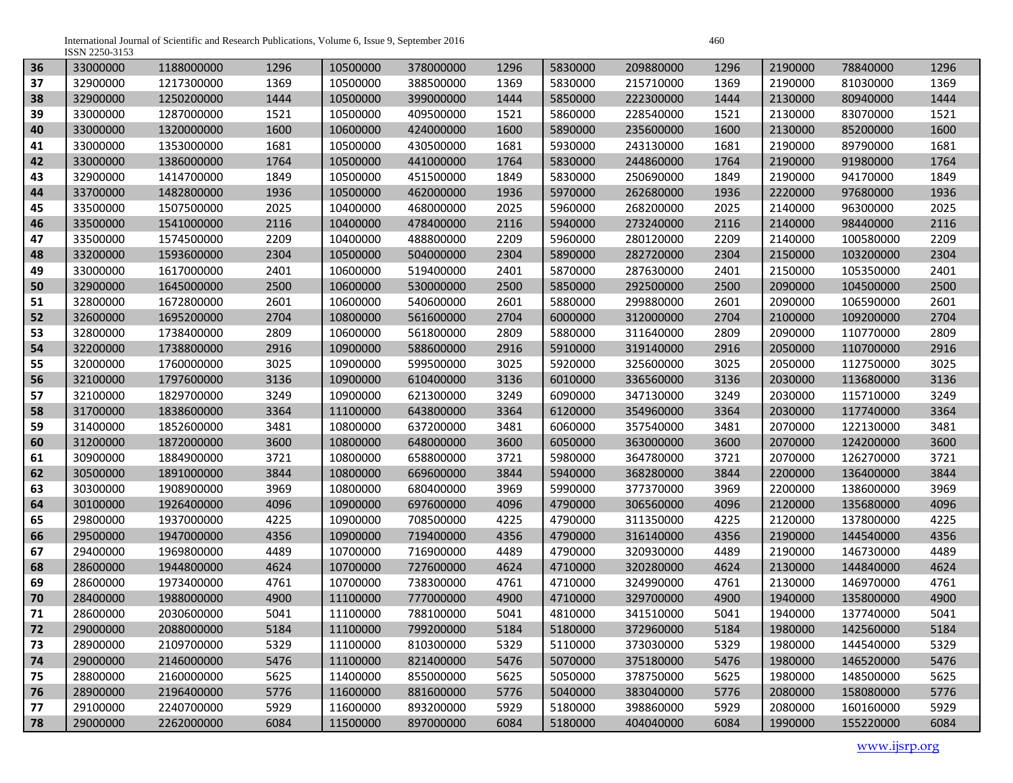International Journal of Scientific and Research Publications, Volume 6, Issue 9, September 2016<br>ISSN 2250-3153

| 36 | 33000000 | 1188000000 | 1296 | 10500000 | 378000000 | 1296 | 5830000 | 209880000 | 1296 | 2190000 | 78840000  | 1296 |
|----|----------|------------|------|----------|-----------|------|---------|-----------|------|---------|-----------|------|
| 37 | 32900000 | 1217300000 | 1369 | 10500000 | 388500000 | 1369 | 5830000 | 215710000 | 1369 | 2190000 | 81030000  | 1369 |
| 38 | 32900000 | 1250200000 | 1444 | 10500000 | 399000000 | 1444 | 5850000 | 222300000 | 1444 | 2130000 | 80940000  | 1444 |
| 39 | 33000000 | 1287000000 | 1521 | 10500000 | 409500000 | 1521 | 5860000 | 228540000 | 1521 | 2130000 | 83070000  | 1521 |
| 40 | 33000000 | 1320000000 | 1600 | 10600000 | 424000000 | 1600 | 5890000 | 235600000 | 1600 | 2130000 | 85200000  | 1600 |
| 41 | 33000000 | 1353000000 | 1681 | 10500000 | 430500000 | 1681 | 5930000 | 243130000 | 1681 | 2190000 | 89790000  | 1681 |
| 42 | 33000000 | 1386000000 | 1764 | 10500000 | 441000000 | 1764 | 5830000 | 244860000 | 1764 | 2190000 | 91980000  | 1764 |
| 43 | 32900000 | 1414700000 | 1849 | 10500000 | 451500000 | 1849 | 5830000 | 250690000 | 1849 | 2190000 | 94170000  | 1849 |
| 44 | 33700000 | 1482800000 | 1936 | 10500000 | 462000000 | 1936 | 5970000 | 262680000 | 1936 | 2220000 | 97680000  | 1936 |
| 45 | 33500000 | 1507500000 | 2025 | 10400000 | 468000000 | 2025 | 5960000 | 268200000 | 2025 | 2140000 | 96300000  | 2025 |
| 46 | 33500000 | 1541000000 | 2116 | 10400000 | 478400000 | 2116 | 5940000 | 273240000 | 2116 | 2140000 | 98440000  | 2116 |
| 47 | 33500000 | 1574500000 | 2209 | 10400000 | 488800000 | 2209 | 5960000 | 280120000 | 2209 | 2140000 | 100580000 | 2209 |
| 48 | 33200000 | 1593600000 | 2304 | 10500000 | 504000000 | 2304 | 5890000 | 282720000 | 2304 | 2150000 | 103200000 | 2304 |
| 49 | 33000000 | 1617000000 | 2401 | 10600000 | 519400000 | 2401 | 5870000 | 287630000 | 2401 | 2150000 | 105350000 | 2401 |
| 50 | 32900000 | 1645000000 | 2500 | 10600000 | 530000000 | 2500 | 5850000 | 292500000 | 2500 | 2090000 | 104500000 | 2500 |
| 51 | 32800000 | 1672800000 | 2601 | 10600000 | 540600000 | 2601 | 5880000 | 299880000 | 2601 | 2090000 | 106590000 | 2601 |
| 52 | 32600000 | 1695200000 | 2704 | 10800000 | 561600000 | 2704 | 6000000 | 312000000 | 2704 | 2100000 | 109200000 | 2704 |
| 53 | 32800000 | 1738400000 | 2809 | 10600000 | 561800000 | 2809 | 5880000 | 311640000 | 2809 | 2090000 | 110770000 | 2809 |
| 54 | 32200000 | 1738800000 | 2916 | 10900000 | 588600000 | 2916 | 5910000 | 319140000 | 2916 | 2050000 | 110700000 | 2916 |
| 55 | 32000000 | 1760000000 | 3025 | 10900000 | 599500000 | 3025 | 5920000 | 325600000 | 3025 | 2050000 | 112750000 | 3025 |
| 56 | 32100000 | 1797600000 | 3136 | 10900000 | 610400000 | 3136 | 6010000 | 336560000 | 3136 | 2030000 | 113680000 | 3136 |
| 57 | 32100000 | 1829700000 | 3249 | 10900000 | 621300000 | 3249 | 6090000 | 347130000 | 3249 | 2030000 | 115710000 | 3249 |
| 58 | 31700000 | 1838600000 | 3364 | 11100000 | 643800000 | 3364 | 6120000 | 354960000 | 3364 | 2030000 | 117740000 | 3364 |
| 59 | 31400000 | 1852600000 | 3481 | 10800000 | 637200000 | 3481 | 6060000 | 357540000 | 3481 | 2070000 | 122130000 | 3481 |
| 60 | 31200000 | 1872000000 | 3600 | 10800000 | 648000000 | 3600 | 6050000 | 363000000 | 3600 | 2070000 | 124200000 | 3600 |
| 61 | 30900000 | 1884900000 | 3721 | 10800000 | 658800000 | 3721 | 5980000 | 364780000 | 3721 | 2070000 | 126270000 | 3721 |
| 62 | 30500000 | 1891000000 | 3844 | 10800000 | 669600000 | 3844 | 5940000 | 368280000 | 3844 | 2200000 | 136400000 | 3844 |
| 63 | 30300000 | 1908900000 | 3969 | 10800000 | 680400000 | 3969 | 5990000 | 377370000 | 3969 | 2200000 | 138600000 | 3969 |
| 64 | 30100000 | 1926400000 | 4096 | 10900000 | 697600000 | 4096 | 4790000 | 306560000 | 4096 | 2120000 | 135680000 | 4096 |
| 65 | 29800000 | 1937000000 | 4225 | 10900000 | 708500000 | 4225 | 4790000 | 311350000 | 4225 | 2120000 | 137800000 | 4225 |
| 66 | 29500000 | 1947000000 | 4356 | 10900000 | 719400000 | 4356 | 4790000 | 316140000 | 4356 | 2190000 | 144540000 | 4356 |
| 67 | 29400000 | 1969800000 | 4489 | 10700000 | 716900000 | 4489 | 4790000 | 320930000 | 4489 | 2190000 | 146730000 | 4489 |
| 68 | 28600000 | 1944800000 | 4624 | 10700000 | 727600000 | 4624 | 4710000 | 320280000 | 4624 | 2130000 | 144840000 | 4624 |
| 69 | 28600000 | 1973400000 | 4761 | 10700000 | 738300000 | 4761 | 4710000 | 324990000 | 4761 | 2130000 | 146970000 | 4761 |
| 70 | 28400000 | 1988000000 | 4900 | 11100000 | 777000000 | 4900 | 4710000 | 329700000 | 4900 | 1940000 | 135800000 | 4900 |
| 71 | 28600000 | 2030600000 | 5041 | 11100000 | 788100000 | 5041 | 4810000 | 341510000 | 5041 | 1940000 | 137740000 | 5041 |
| 72 | 29000000 | 2088000000 | 5184 | 11100000 | 799200000 | 5184 | 5180000 | 372960000 | 5184 | 1980000 | 142560000 | 5184 |
| 73 | 28900000 | 2109700000 | 5329 | 11100000 | 810300000 | 5329 | 5110000 | 373030000 | 5329 | 1980000 | 144540000 | 5329 |
| 74 | 29000000 | 2146000000 | 5476 | 11100000 | 821400000 | 5476 | 5070000 | 375180000 | 5476 | 1980000 | 146520000 | 5476 |
| 75 | 28800000 | 2160000000 | 5625 | 11400000 | 855000000 | 5625 | 5050000 | 378750000 | 5625 | 1980000 | 148500000 | 5625 |
| 76 | 28900000 | 2196400000 | 5776 | 11600000 | 881600000 | 5776 | 5040000 | 383040000 | 5776 | 2080000 | 158080000 | 5776 |
| 77 | 29100000 | 2240700000 | 5929 | 11600000 | 893200000 | 5929 | 5180000 | 398860000 | 5929 | 2080000 | 160160000 | 5929 |
| 78 | 29000000 | 2262000000 | 6084 | 11500000 | 897000000 | 6084 | 5180000 | 404040000 | 6084 | 1990000 | 155220000 | 6084 |

www.ijsrp.org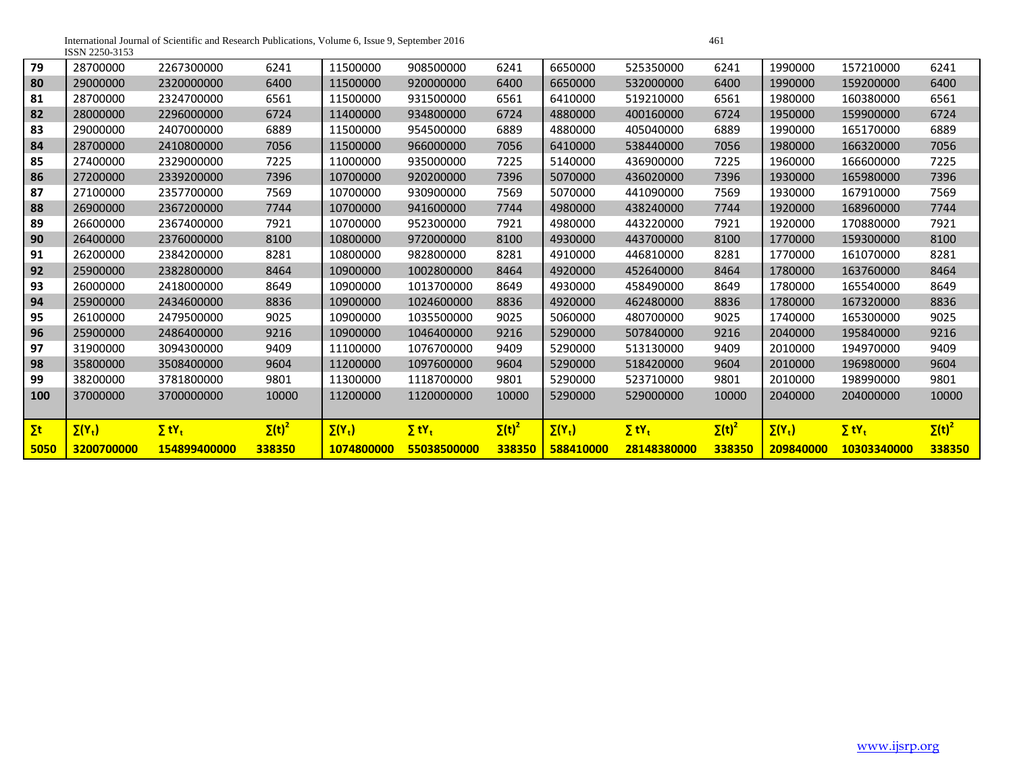International Journal of Scientific and Research Publications, Volume 6, Issue 9, September 2016 ISSN 2250-3153

| 79                          | 28700000      | 2267300000               | 6241          | 11500000      | 908500000                | 6241          | 6650000       | 525350000                | 6241          | 1990000       | 157210000                | 6241          |
|-----------------------------|---------------|--------------------------|---------------|---------------|--------------------------|---------------|---------------|--------------------------|---------------|---------------|--------------------------|---------------|
| 80                          | 29000000      | 2320000000               | 6400          | 11500000      | 920000000                | 6400          | 6650000       | 532000000                | 6400          | 1990000       | 159200000                | 6400          |
| 81                          | 28700000      | 2324700000               | 6561          | 11500000      | 931500000                | 6561          | 6410000       | 519210000                | 6561          | 1980000       | 160380000                | 6561          |
| 82                          | 28000000      | 2296000000               | 6724          | 11400000      | 934800000                | 6724          | 4880000       | 400160000                | 6724          | 1950000       | 159900000                | 6724          |
| 83                          | 29000000      | 2407000000               | 6889          | 11500000      | 954500000                | 6889          | 4880000       | 405040000                | 6889          | 1990000       | 165170000                | 6889          |
| 84                          | 28700000      | 2410800000               | 7056          | 11500000      | 966000000                | 7056          | 6410000       | 538440000                | 7056          | 1980000       | 166320000                | 7056          |
| 85                          | 27400000      | 2329000000               | 7225          | 11000000      | 935000000                | 7225          | 5140000       | 436900000                | 7225          | 1960000       | 166600000                | 7225          |
| 86                          | 27200000      | 2339200000               | 7396          | 10700000      | 920200000                | 7396          | 5070000       | 436020000                | 7396          | 1930000       | 165980000                | 7396          |
| 87                          | 27100000      | 2357700000               | 7569          | 10700000      | 930900000                | 7569          | 5070000       | 441090000                | 7569          | 1930000       | 167910000                | 7569          |
| 88                          | 26900000      | 2367200000               | 7744          | 10700000      | 941600000                | 7744          | 4980000       | 438240000                | 7744          | 1920000       | 168960000                | 7744          |
| 89                          | 26600000      | 2367400000               | 7921          | 10700000      | 952300000                | 7921          | 4980000       | 443220000                | 7921          | 1920000       | 170880000                | 7921          |
| 90                          | 26400000      | 2376000000               | 8100          | 10800000      | 972000000                | 8100          | 4930000       | 443700000                | 8100          | 1770000       | 159300000                | 8100          |
| 91                          | 26200000      | 2384200000               | 8281          | 10800000      | 982800000                | 8281          | 4910000       | 446810000                | 8281          | 1770000       | 161070000                | 8281          |
| 92                          | 25900000      | 2382800000               | 8464          | 10900000      | 1002800000               | 8464          | 4920000       | 452640000                | 8464          | 1780000       | 163760000                | 8464          |
| 93                          | 26000000      | 2418000000               | 8649          | 10900000      | 1013700000               | 8649          | 4930000       | 458490000                | 8649          | 1780000       | 165540000                | 8649          |
| 94                          | 25900000      | 2434600000               | 8836          | 10900000      | 1024600000               | 8836          | 4920000       | 462480000                | 8836          | 1780000       | 167320000                | 8836          |
| 95                          | 26100000      | 2479500000               | 9025          | 10900000      | 1035500000               | 9025          | 5060000       | 480700000                | 9025          | 1740000       | 165300000                | 9025          |
| 96                          | 25900000      | 2486400000               | 9216          | 10900000      | 1046400000               | 9216          | 5290000       | 507840000                | 9216          | 2040000       | 195840000                | 9216          |
| 97                          | 31900000      | 3094300000               | 9409          | 11100000      | 1076700000               | 9409          | 5290000       | 513130000                | 9409          | 2010000       | 194970000                | 9409          |
| 98                          | 35800000      | 3508400000               | 9604          | 11200000      | 1097600000               | 9604          | 5290000       | 518420000                | 9604          | 2010000       | 196980000                | 9604          |
| 99                          | 38200000      | 3781800000               | 9801          | 11300000      | 1118700000               | 9801          | 5290000       | 523710000                | 9801          | 2010000       | 198990000                | 9801          |
| 100                         | 37000000      | 3700000000               | 10000         | 11200000      | 1120000000               | 10000         | 5290000       | 529000000                | 10000         | 2040000       | 204000000                | 10000         |
|                             |               |                          |               |               |                          |               |               |                          |               |               |                          |               |
| $\mathsf{\Sigma}\mathsf{t}$ | $\Sigma(Y_t)$ | $\Sigma$ tY <sub>t</sub> | $\Sigma(t)^2$ | $\Sigma(Y_t)$ | $\Sigma$ tY <sub>t</sub> | $\Sigma(t)^2$ | $\Sigma(Y_t)$ | $\Sigma$ tY <sub>t</sub> | $\Sigma(t)^2$ | $\Sigma(Y_t)$ | $\Sigma$ tY <sub>t</sub> | $\Sigma(t)^2$ |
| 5050                        | 3200700000    | 154899400000             | 338350        | 1074800000    | 55038500000              | 338350        | 588410000     | 28148380000              | 338350        | 209840000     | 10303340000              | 338350        |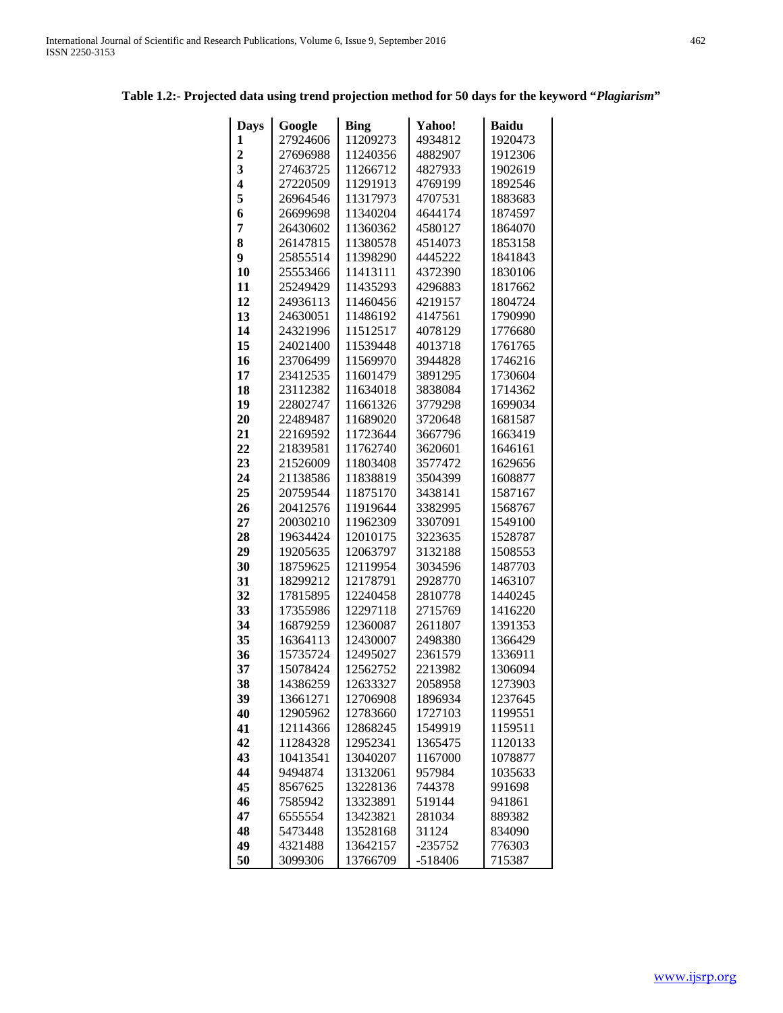# **Table 1.2:- Projected data using trend projection method for 50 days for the keyword "***Plagiarism***"**

| <b>Days</b>             | Google               | <b>Bing</b>          | Yahoo!             | <b>Baidu</b>       |
|-------------------------|----------------------|----------------------|--------------------|--------------------|
| 1                       | 27924606             | 11209273             | 4934812            | 1920473            |
| $\overline{2}$          | 27696988             | 11240356             | 4882907            | 1912306            |
| $\overline{\mathbf{3}}$ | 27463725             | 11266712             | 4827933            | 1902619            |
| 4                       | 27220509             | 11291913             | 4769199            | 1892546            |
| 5                       | 26964546             | 11317973             | 4707531            | 1883683            |
| 6                       | 26699698             | 11340204             | 4644174            | 1874597            |
| 7                       | 26430602             | 11360362             | 4580127            | 1864070            |
| 8                       | 26147815             | 11380578             | 4514073            | 1853158            |
| 9                       | 25855514             | 11398290             | 4445222            | 1841843            |
| 10                      | 25553466             | 11413111             | 4372390            | 1830106            |
| 11                      | 25249429             | 11435293             | 4296883            | 1817662            |
| 12                      | 24936113             | 11460456             | 4219157            | 1804724            |
| 13                      | 24630051             | 11486192             | 4147561            | 1790990            |
| 14                      | 24321996             | 11512517             | 4078129            | 1776680            |
| 15                      | 24021400             | 11539448             | 4013718            | 1761765            |
| 16                      | 23706499             | 11569970             | 3944828            | 1746216            |
| 17                      | 23412535             | 11601479             | 3891295            | 1730604            |
| 18                      | 23112382             | 11634018             | 3838084            | 1714362            |
| 19                      | 22802747             | 11661326             | 3779298            | 1699034            |
| 20                      | 22489487             | 11689020             | 3720648            | 1681587            |
| 21                      | 22169592             | 11723644             | 3667796            | 1663419            |
| 22                      | 21839581             | 11762740             | 3620601            | 1646161            |
| 23                      | 21526009             | 11803408             | 3577472            | 1629656            |
| 24                      | 21138586             | 11838819             | 3504399            | 1608877            |
| 25                      | 20759544             | 11875170             | 3438141            | 1587167            |
| 26                      | 20412576             | 11919644             | 3382995            | 1568767            |
| 27                      | 20030210             | 11962309             | 3307091            | 1549100            |
| 28                      | 19634424             | 12010175             | 3223635            | 1528787            |
| 29                      | 19205635             | 12063797             | 3132188            | 1508553            |
| 30                      | 18759625             | 12119954             | 3034596            | 1487703            |
| 31                      | 18299212             | 12178791             | 2928770            | 1463107            |
| 32                      | 17815895             | 12240458             | 2810778            | 1440245            |
| 33                      | 17355986             | 12297118             | 2715769            | 1416220            |
| 34                      | 16879259             | 12360087             | 2611807            | 1391353            |
| 35                      | 16364113             | 12430007             | 2498380            | 1366429            |
| 36<br>37                | 15735724<br>15078424 | 12495027<br>12562752 | 2361579<br>2213982 | 1336911<br>1306094 |
| 38                      | 14386259             | 12633327             | 2058958            | 1273903            |
| 39                      | 13661271             | 12706908             | 1896934            | 1237645            |
| 40                      | 12905962             | 12783660             | 1727103            | 1199551            |
| 41                      | 12114366             | 12868245             | 1549919            | 1159511            |
| 42                      | 11284328             | 12952341             | 1365475            | 1120133            |
| 43                      | 10413541             | 13040207             | 1167000            | 1078877            |
| 44                      | 9494874              | 13132061             | 957984             | 1035633            |
| 45                      | 8567625              | 13228136             | 744378             | 991698             |
| 46                      | 7585942              | 13323891             | 519144             | 941861             |
| 47                      | 6555554              | 13423821             | 281034             | 889382             |
| 48                      | 5473448              | 13528168             | 31124              | 834090             |
| 49                      | 4321488              | 13642157             | $-235752$          | 776303             |
| 50                      | 3099306              | 13766709             | $-518406$          | 715387             |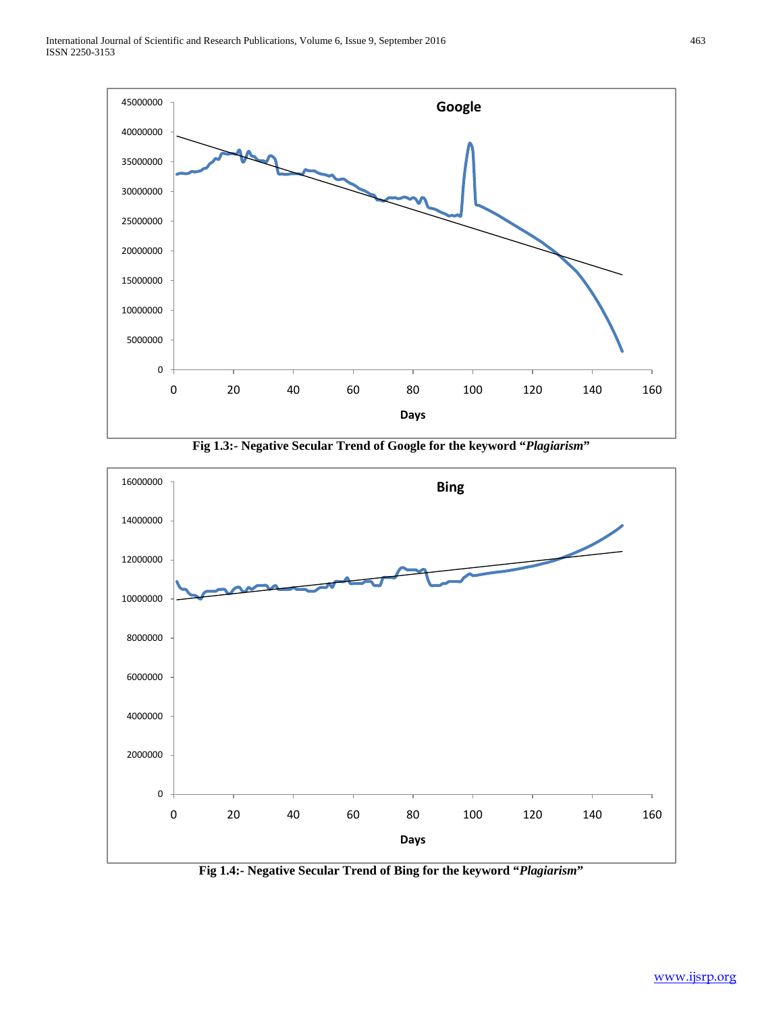

**Fig 1.3:- Negative Secular Trend of Google for the keyword "***Plagiarism***"**



**Fig 1.4:- Negative Secular Trend of Bing for the keyword "***Plagiarism***"**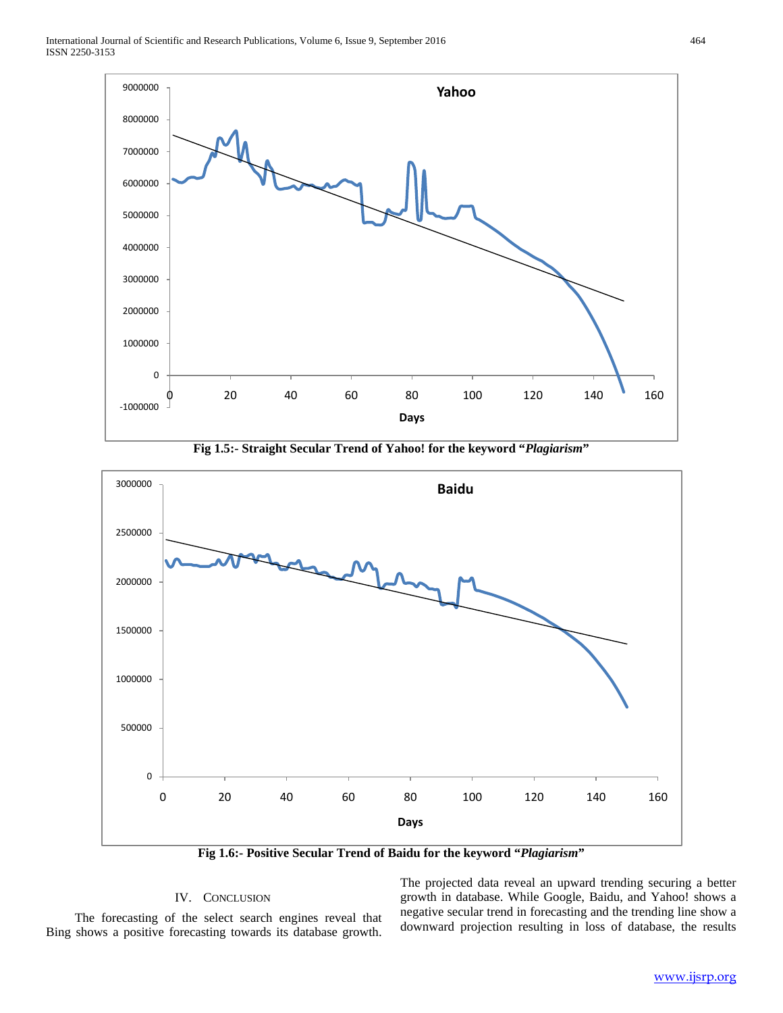

**Fig 1.5:- Straight Secular Trend of Yahoo! for the keyword "***Plagiarism***"**



**Fig 1.6:- Positive Secular Trend of Baidu for the keyword "***Plagiarism***"**

# IV. CONCLUSION

 The forecasting of the select search engines reveal that Bing shows a positive forecasting towards its database growth.

The projected data reveal an upward trending securing a better growth in database. While Google, Baidu, and Yahoo! shows a negative secular trend in forecasting and the trending line show a downward projection resulting in loss of database, the results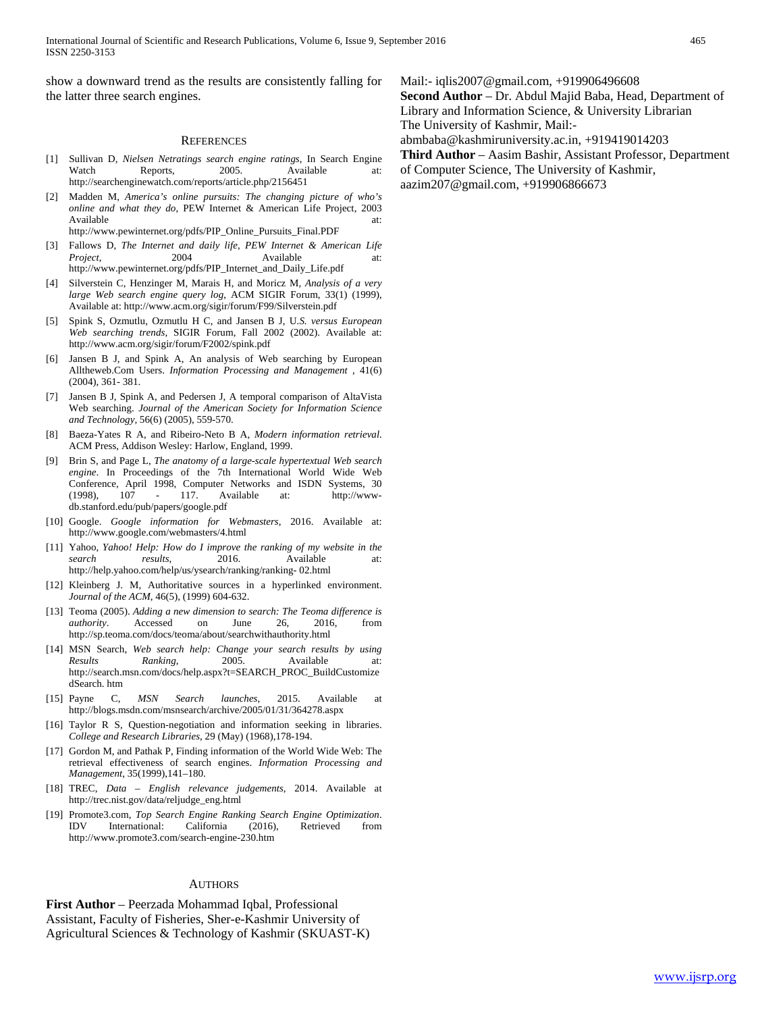show a downward trend as the results are consistently falling for the latter three search engines.

#### **REFERENCES**

- [1] Sullivan D, *Nielsen Netratings search engine ratings*, In Search Engine Watch Reports, 2005. Available at: http://searchenginewatch.com/reports/article.php/2156451
- [2] Madden M, *America's online pursuits: The changing picture of who's online and what they do*, PEW Internet & American Life Project, 2003 Available at:  $\overline{a}$  at: http://www.pewinternet.org/pdfs/PIP\_Online\_Pursuits\_Final.PDF
- [3] Fallows D, *The Internet and daily life, PEW Internet & American Life*
- *Project*, 2004 Available at: http://www.pewinternet.org/pdfs/PIP\_Internet\_and\_Daily\_Life.pdf
- [4] Silverstein C, Henzinger M, Marais H, and Moricz M*, Analysis of a very large Web search engine query log*, ACM SIGIR Forum, 33(1) (1999), Available at: http://www.acm.org/sigir/forum/F99/Silverstein.pdf
- [5] Spink S, Ozmutlu, Ozmutlu H C, and Jansen B J, U*.S. versus European Web searching trends*, SIGIR Forum, Fall 2002 (2002). Available at: http://www.acm.org/sigir/forum/F2002/spink.pdf
- [6] Jansen B J, and Spink A, An analysis of Web searching by European Alltheweb.Com Users. *Information Processing and Management* , 41(6) (2004), 361- 381.
- [7] Jansen B J, Spink A, and Pedersen J, A temporal comparison of AltaVista Web searching. *Journal of the American Society for Information Science and Technology,* 56(6) (2005), 559-570.
- [8] Baeza-Yates R A, and Ribeiro-Neto B A, *Modern information retrieval*. ACM Press, Addison Wesley: Harlow, England, 1999.
- [9] Brin S, and Page L, *The anatomy of a large-scale hypertextual Web search engine*. In Proceedings of the 7th International World Wide Web Conference, April 1998, Computer Networks and ISDN Systems, 30 (1998), 107 - 117. Available at: http://wwwdb.stanford.edu/pub/papers/google.pdf
- [10] Google. *Google information for Webmasters*, 2016. Available at: http://www.google.com/webmasters/4.html
- [11] Yahoo, *Yahoo! Help: How do I improve the ranking of my website in the search results*, 2016. Available at: http://help.yahoo.com/help/us/ysearch/ranking/ranking- 02.html
- [12] Kleinberg J. M, Authoritative sources in a hyperlinked environment. *Journal of the ACM*, 46(5), (1999) 604-632.
- [13] Teoma (2005). *Adding a new dimension to search: The Teoma difference is authority*. Accessed on June 26, 2016, from http://sp.teoma.com/docs/teoma/about/searchwithauthority.html
- [14] MSN Search, *Web search help: Change your search results by using Results Ranking*, 2005. Available at: http://search.msn.com/docs/help.aspx?t=SEARCH\_PROC\_BuildCustomize dSearch. htm
- [15] Payne C, *MSN Search launches*, 2015. Available at http://blogs.msdn.com/msnsearch/archive/2005/01/31/364278.aspx
- [16] Taylor R S, Question-negotiation and information seeking in libraries. *College and Research Libraries*, 29 (May) (1968),178-194.
- [17] Gordon M, and Pathak P, Finding information of the World Wide Web: The retrieval effectiveness of search engines. *Information Processing and Management*, 35(1999),141–180.
- [18] TREC, *Data – English relevance judgements*, 2014. Available at http://trec.nist.gov/data/reljudge\_eng.html
- [19] Promote3.com, *Top Search Engine Ranking Search Engine Optimization*. IDV International: California (2016), Retrieved from http://www.promote3.com/search-engine-230.htm

#### **AUTHORS**

**First Author** – Peerzada Mohammad Iqbal, Professional Assistant, Faculty of Fisheries, Sher-e-Kashmir University of Agricultural Sciences & Technology of Kashmir (SKUAST-K) Mail:- iqlis2007@gmail.com, +919906496608

**Second Author** – Dr. Abdul Majid Baba, Head, Department of Library and Information Science, & University Librarian The University of Kashmir, Mail:-

abmbaba@kashmiruniversity.ac.in, +919419014203

**Third Author** – Aasim Bashir, Assistant Professor, Department of Computer Science, The University of Kashmir, aazim207@gmail.com, +919906866673